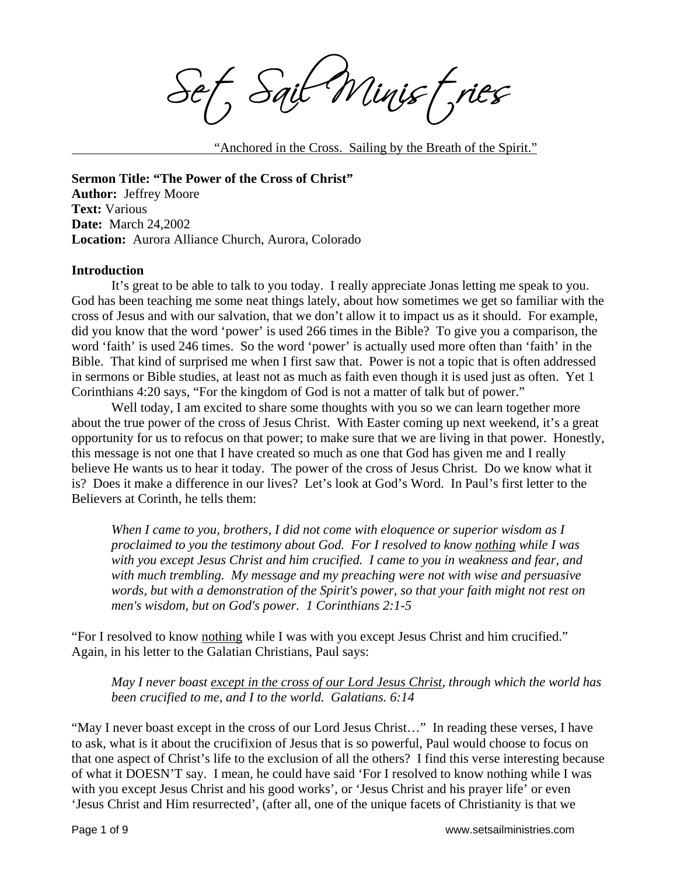Sait Minist, ries

"Anchored in the Cross. Sailing by the Breath of the Spirit."

**Sermon Title: "The Power of the Cross of Christ" Author:** Jeffrey Moore **Text:** Various **Date:** March 24,2002 **Location:** Aurora Alliance Church, Aurora, Colorado

#### **Introduction**

 It's great to be able to talk to you today. I really appreciate Jonas letting me speak to you. God has been teaching me some neat things lately, about how sometimes we get so familiar with the cross of Jesus and with our salvation, that we don't allow it to impact us as it should. For example, did you know that the word 'power' is used 266 times in the Bible? To give you a comparison, the word 'faith' is used 246 times. So the word 'power' is actually used more often than 'faith' in the Bible. That kind of surprised me when I first saw that. Power is not a topic that is often addressed in sermons or Bible studies, at least not as much as faith even though it is used just as often. Yet 1 Corinthians 4:20 says, "For the kingdom of God is not a matter of talk but of power."

Well today, I am excited to share some thoughts with you so we can learn together more about the true power of the cross of Jesus Christ. With Easter coming up next weekend, it's a great opportunity for us to refocus on that power; to make sure that we are living in that power. Honestly, this message is not one that I have created so much as one that God has given me and I really believe He wants us to hear it today. The power of the cross of Jesus Christ. Do we know what it is? Does it make a difference in our lives? Let's look at God's Word. In Paul's first letter to the Believers at Corinth, he tells them:

*When I came to you, brothers, I did not come with eloquence or superior wisdom as I proclaimed to you the testimony about God. For I resolved to know nothing while I was with you except Jesus Christ and him crucified. I came to you in weakness and fear, and with much trembling. My message and my preaching were not with wise and persuasive words, but with a demonstration of the Spirit's power, so that your faith might not rest on men's wisdom, but on God's power. 1 Corinthians 2:1-5* 

"For I resolved to know nothing while I was with you except Jesus Christ and him crucified." Again, in his letter to the Galatian Christians, Paul says:

*May I never boast except in the cross of our Lord Jesus Christ, through which the world has been crucified to me, and I to the world. Galatians. 6:14* 

"May I never boast except in the cross of our Lord Jesus Christ…" In reading these verses, I have to ask, what is it about the crucifixion of Jesus that is so powerful, Paul would choose to focus on that one aspect of Christ's life to the exclusion of all the others? I find this verse interesting because of what it DOESN'T say. I mean, he could have said 'For I resolved to know nothing while I was with you except Jesus Christ and his good works', or 'Jesus Christ and his prayer life' or even 'Jesus Christ and Him resurrected', (after all, one of the unique facets of Christianity is that we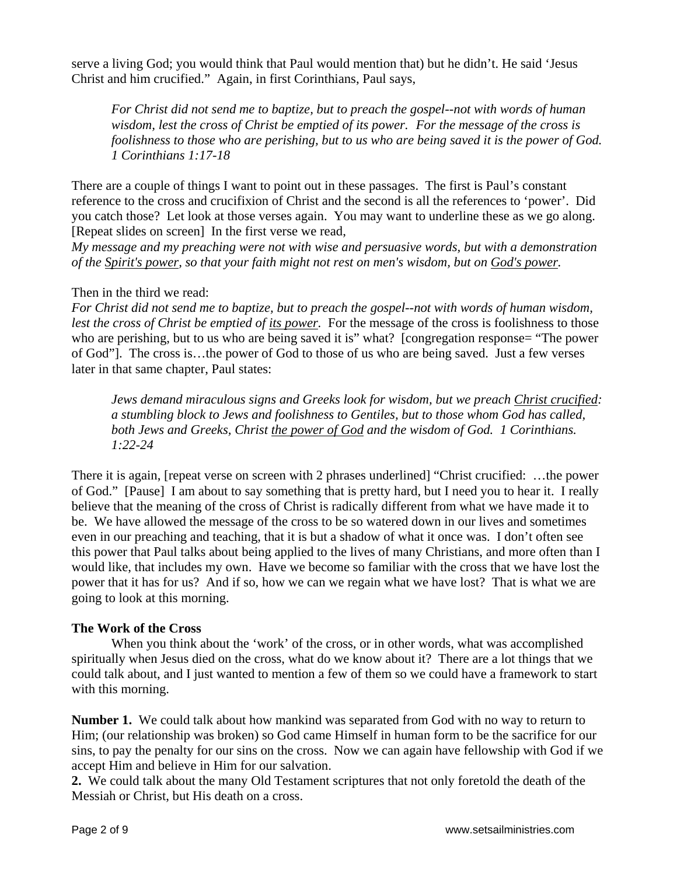serve a living God; you would think that Paul would mention that) but he didn't. He said 'Jesus Christ and him crucified." Again, in first Corinthians, Paul says,

*For Christ did not send me to baptize, but to preach the gospel--not with words of human wisdom, lest the cross of Christ be emptied of its power. For the message of the cross is foolishness to those who are perishing, but to us who are being saved it is the power of God. 1 Corinthians 1:17-18* 

There are a couple of things I want to point out in these passages. The first is Paul's constant reference to the cross and crucifixion of Christ and the second is all the references to 'power'. Did you catch those? Let look at those verses again. You may want to underline these as we go along. [Repeat slides on screen] In the first verse we read,

*My message and my preaching were not with wise and persuasive words, but with a demonstration of the Spirit's power, so that your faith might not rest on men's wisdom, but on God's power.* 

# Then in the third we read:

*For Christ did not send me to baptize, but to preach the gospel--not with words of human wisdom, lest the cross of Christ be emptied of its power.* For the message of the cross is foolishness to those who are perishing, but to us who are being saved it is" what? [congregation response= "The power of God"]. The cross is…the power of God to those of us who are being saved. Just a few verses later in that same chapter, Paul states:

*Jews demand miraculous signs and Greeks look for wisdom, but we preach Christ crucified: a stumbling block to Jews and foolishness to Gentiles, but to those whom God has called, both Jews and Greeks, Christ the power of God and the wisdom of God. 1 Corinthians. 1:22-24* 

There it is again, [repeat verse on screen with 2 phrases underlined] "Christ crucified: …the power of God." [Pause] I am about to say something that is pretty hard, but I need you to hear it. I really believe that the meaning of the cross of Christ is radically different from what we have made it to be. We have allowed the message of the cross to be so watered down in our lives and sometimes even in our preaching and teaching, that it is but a shadow of what it once was. I don't often see this power that Paul talks about being applied to the lives of many Christians, and more often than I would like, that includes my own. Have we become so familiar with the cross that we have lost the power that it has for us? And if so, how we can we regain what we have lost? That is what we are going to look at this morning.

# **The Work of the Cross**

 When you think about the 'work' of the cross, or in other words, what was accomplished spiritually when Jesus died on the cross, what do we know about it? There are a lot things that we could talk about, and I just wanted to mention a few of them so we could have a framework to start with this morning.

**Number 1.** We could talk about how mankind was separated from God with no way to return to Him; (our relationship was broken) so God came Himself in human form to be the sacrifice for our sins, to pay the penalty for our sins on the cross. Now we can again have fellowship with God if we accept Him and believe in Him for our salvation.

**2.** We could talk about the many Old Testament scriptures that not only foretold the death of the Messiah or Christ, but His death on a cross.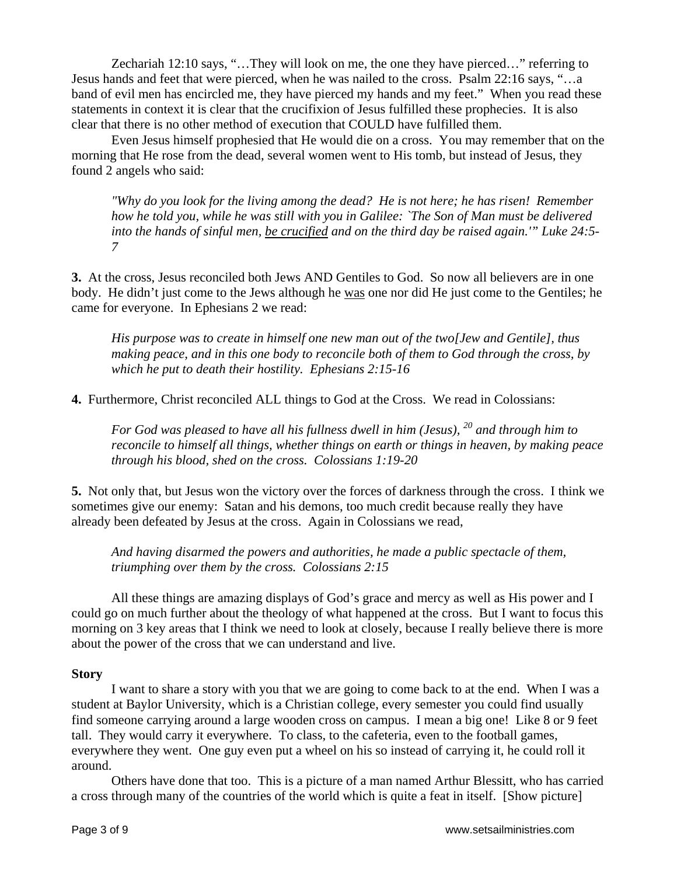Zechariah 12:10 says, "…They will look on me, the one they have pierced…" referring to Jesus hands and feet that were pierced, when he was nailed to the cross. Psalm 22:16 says, "…a band of evil men has encircled me, they have pierced my hands and my feet." When you read these statements in context it is clear that the crucifixion of Jesus fulfilled these prophecies. It is also clear that there is no other method of execution that COULD have fulfilled them.

Even Jesus himself prophesied that He would die on a cross. You may remember that on the morning that He rose from the dead, several women went to His tomb, but instead of Jesus, they found 2 angels who said:

*"Why do you look for the living among the dead? He is not here; he has risen! Remember how he told you, while he was still with you in Galilee: `The Son of Man must be delivered into the hands of sinful men, be crucified and on the third day be raised again.'" Luke 24:5- 7* 

**3.** At the cross, Jesus reconciled both Jews AND Gentiles to God. So now all believers are in one body. He didn't just come to the Jews although he was one nor did He just come to the Gentiles; he came for everyone. In Ephesians 2 we read:

*His purpose was to create in himself one new man out of the two[Jew and Gentile], thus making peace, and in this one body to reconcile both of them to God through the cross, by which he put to death their hostility. Ephesians 2:15-16*

**4.** Furthermore, Christ reconciled ALL things to God at the Cross. We read in Colossians:

*For God was pleased to have all his fullness dwell in him (Jesus), 20 and through him to reconcile to himself all things, whether things on earth or things in heaven, by making peace through his blood, shed on the cross. Colossians 1:19-20* 

**5.** Not only that, but Jesus won the victory over the forces of darkness through the cross. I think we sometimes give our enemy: Satan and his demons, too much credit because really they have already been defeated by Jesus at the cross. Again in Colossians we read,

*And having disarmed the powers and authorities, he made a public spectacle of them, triumphing over them by the cross. Colossians 2:15* 

 All these things are amazing displays of God's grace and mercy as well as His power and I could go on much further about the theology of what happened at the cross. But I want to focus this morning on 3 key areas that I think we need to look at closely, because I really believe there is more about the power of the cross that we can understand and live.

## **Story**

I want to share a story with you that we are going to come back to at the end. When I was a student at Baylor University, which is a Christian college, every semester you could find usually find someone carrying around a large wooden cross on campus. I mean a big one! Like 8 or 9 feet tall. They would carry it everywhere. To class, to the cafeteria, even to the football games, everywhere they went. One guy even put a wheel on his so instead of carrying it, he could roll it around.

Others have done that too. This is a picture of a man named Arthur Blessitt, who has carried a cross through many of the countries of the world which is quite a feat in itself. [Show picture]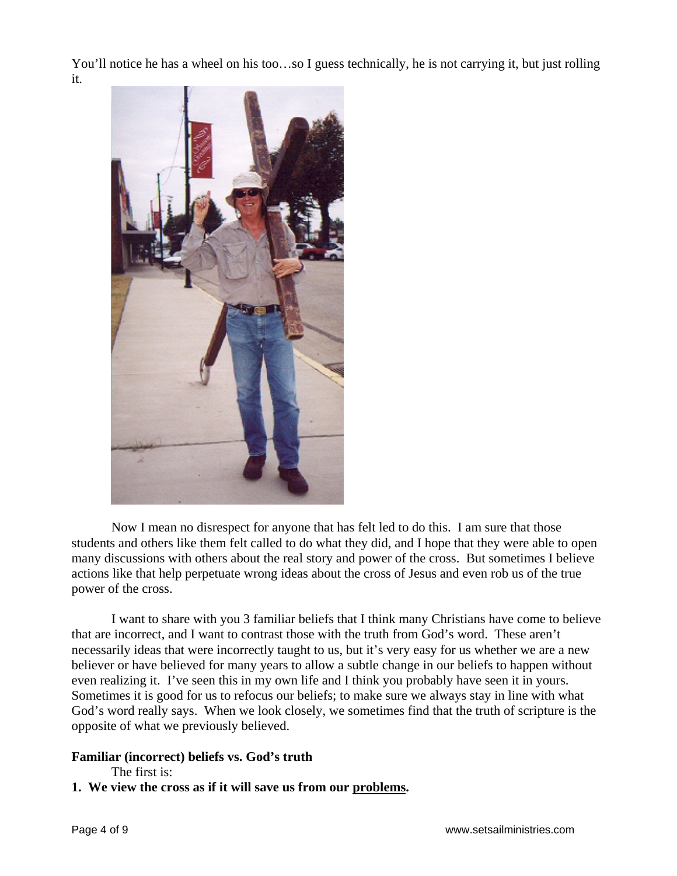You'll notice he has a wheel on his too…so I guess technically, he is not carrying it, but just rolling it.



Now I mean no disrespect for anyone that has felt led to do this. I am sure that those students and others like them felt called to do what they did, and I hope that they were able to open many discussions with others about the real story and power of the cross. But sometimes I believe actions like that help perpetuate wrong ideas about the cross of Jesus and even rob us of the true power of the cross.

I want to share with you 3 familiar beliefs that I think many Christians have come to believe that are incorrect, and I want to contrast those with the truth from God's word. These aren't necessarily ideas that were incorrectly taught to us, but it's very easy for us whether we are a new believer or have believed for many years to allow a subtle change in our beliefs to happen without even realizing it. I've seen this in my own life and I think you probably have seen it in yours. Sometimes it is good for us to refocus our beliefs; to make sure we always stay in line with what God's word really says. When we look closely, we sometimes find that the truth of scripture is the opposite of what we previously believed.

## **Familiar (incorrect) beliefs vs. God's truth**

The first is:

**1. We view the cross as if it will save us from our problems.**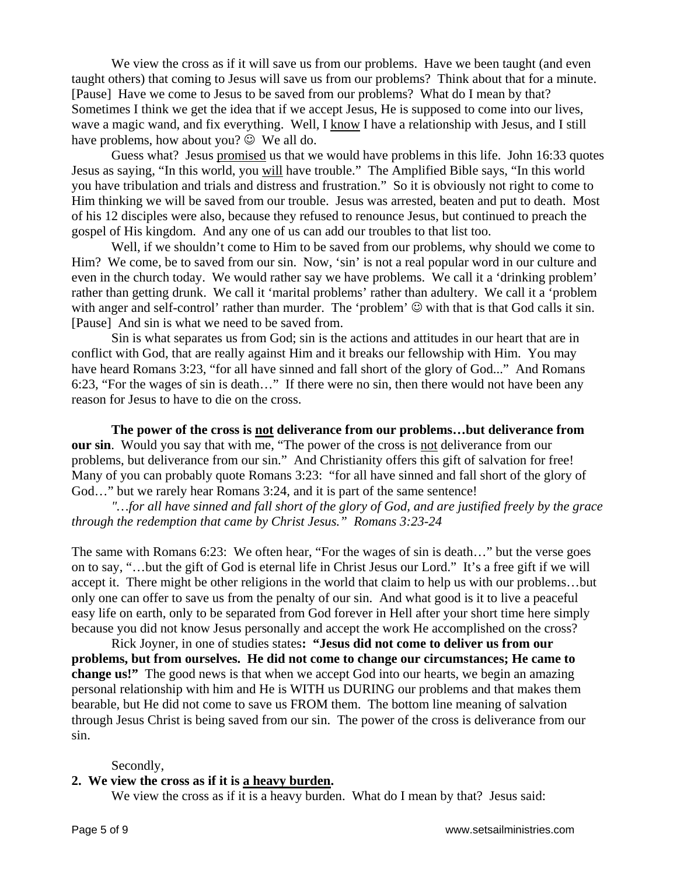We view the cross as if it will save us from our problems. Have we been taught (and even taught others) that coming to Jesus will save us from our problems? Think about that for a minute. [Pause] Have we come to Jesus to be saved from our problems? What do I mean by that? Sometimes I think we get the idea that if we accept Jesus, He is supposed to come into our lives, wave a magic wand, and fix everything. Well, I know I have a relationship with Jesus, and I still have problems, how about you?  $\odot$  We all do.

Guess what? Jesus promised us that we would have problems in this life. John 16:33 quotes Jesus as saying, "In this world, you will have trouble." The Amplified Bible says, "In this world you have tribulation and trials and distress and frustration." So it is obviously not right to come to Him thinking we will be saved from our trouble. Jesus was arrested, beaten and put to death. Most of his 12 disciples were also, because they refused to renounce Jesus, but continued to preach the gospel of His kingdom. And any one of us can add our troubles to that list too.

 Well, if we shouldn't come to Him to be saved from our problems, why should we come to Him? We come, be to saved from our sin. Now, 'sin' is not a real popular word in our culture and even in the church today. We would rather say we have problems. We call it a 'drinking problem' rather than getting drunk. We call it 'marital problems' rather than adultery. We call it a 'problem with anger and self-control' rather than murder. The 'problem'  $\odot$  with that is that God calls it sin. [Pause] And sin is what we need to be saved from.

Sin is what separates us from God; sin is the actions and attitudes in our heart that are in conflict with God, that are really against Him and it breaks our fellowship with Him. You may have heard Romans 3:23, "for all have sinned and fall short of the glory of God..." And Romans 6:23, "For the wages of sin is death…" If there were no sin, then there would not have been any reason for Jesus to have to die on the cross.

**The power of the cross is not deliverance from our problems…but deliverance from our sin**. Would you say that with me, "The power of the cross is not deliverance from our problems, but deliverance from our sin." And Christianity offers this gift of salvation for free! Many of you can probably quote Romans 3:23: "for all have sinned and fall short of the glory of God..." but we rarely hear Romans 3:24, and it is part of the same sentence!

*"…for all have sinned and fall short of the glory of God, and are justified freely by the grace through the redemption that came by Christ Jesus." Romans 3:23-24* 

The same with Romans 6:23: We often hear, "For the wages of sin is death…" but the verse goes on to say, "…but the gift of God is eternal life in Christ Jesus our Lord." It's a free gift if we will accept it. There might be other religions in the world that claim to help us with our problems…but only one can offer to save us from the penalty of our sin. And what good is it to live a peaceful easy life on earth, only to be separated from God forever in Hell after your short time here simply because you did not know Jesus personally and accept the work He accomplished on the cross?

Rick Joyner, in one of studies states**: "Jesus did not come to deliver us from our problems, but from ourselves. He did not come to change our circumstances; He came to change us!"** The good news is that when we accept God into our hearts, we begin an amazing personal relationship with him and He is WITH us DURING our problems and that makes them bearable, but He did not come to save us FROM them. The bottom line meaning of salvation through Jesus Christ is being saved from our sin. The power of the cross is deliverance from our sin.

#### Secondly,

## **2. We view the cross as if it is a heavy burden.**

We view the cross as if it is a heavy burden. What do I mean by that? Jesus said: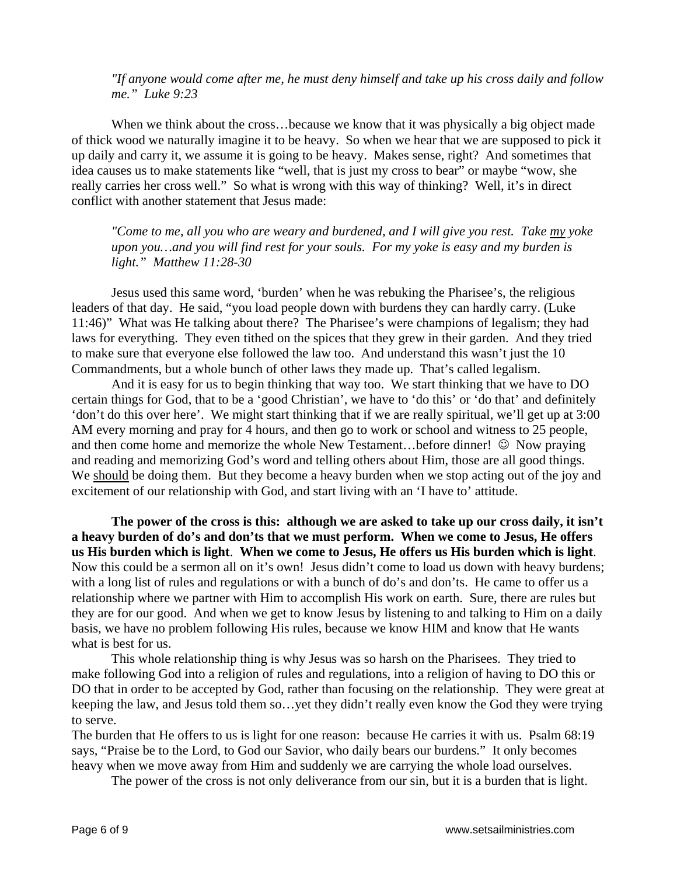*"If anyone would come after me, he must deny himself and take up his cross daily and follow me." Luke 9:23* 

When we think about the cross...because we know that it was physically a big object made of thick wood we naturally imagine it to be heavy. So when we hear that we are supposed to pick it up daily and carry it, we assume it is going to be heavy. Makes sense, right? And sometimes that idea causes us to make statements like "well, that is just my cross to bear" or maybe "wow, she really carries her cross well." So what is wrong with this way of thinking? Well, it's in direct conflict with another statement that Jesus made:

*"Come to me, all you who are weary and burdened, and I will give you rest. Take my yoke upon you…and you will find rest for your souls. For my yoke is easy and my burden is light." Matthew 11:28-30* 

 Jesus used this same word, 'burden' when he was rebuking the Pharisee's, the religious leaders of that day. He said, "you load people down with burdens they can hardly carry. (Luke 11:46)" What was He talking about there? The Pharisee's were champions of legalism; they had laws for everything. They even tithed on the spices that they grew in their garden. And they tried to make sure that everyone else followed the law too. And understand this wasn't just the 10 Commandments, but a whole bunch of other laws they made up. That's called legalism.

And it is easy for us to begin thinking that way too. We start thinking that we have to DO certain things for God, that to be a 'good Christian', we have to 'do this' or 'do that' and definitely 'don't do this over here'. We might start thinking that if we are really spiritual, we'll get up at 3:00 AM every morning and pray for 4 hours, and then go to work or school and witness to 25 people, and then come home and memorize the whole New Testament...before dinner!  $\odot$  Now praying and reading and memorizing God's word and telling others about Him, those are all good things. We should be doing them. But they become a heavy burden when we stop acting out of the joy and excitement of our relationship with God, and start living with an 'I have to' attitude.

**The power of the cross is this: although we are asked to take up our cross daily, it isn't a heavy burden of do's and don'ts that we must perform. When we come to Jesus, He offers us His burden which is light**. **When we come to Jesus, He offers us His burden which is light**. Now this could be a sermon all on it's own! Jesus didn't come to load us down with heavy burdens; with a long list of rules and regulations or with a bunch of do's and don'ts. He came to offer us a relationship where we partner with Him to accomplish His work on earth. Sure, there are rules but they are for our good. And when we get to know Jesus by listening to and talking to Him on a daily basis, we have no problem following His rules, because we know HIM and know that He wants what is best for us.

This whole relationship thing is why Jesus was so harsh on the Pharisees. They tried to make following God into a religion of rules and regulations, into a religion of having to DO this or DO that in order to be accepted by God, rather than focusing on the relationship. They were great at keeping the law, and Jesus told them so…yet they didn't really even know the God they were trying to serve.

The burden that He offers to us is light for one reason: because He carries it with us. Psalm 68:19 says, "Praise be to the Lord, to God our Savior, who daily bears our burdens." It only becomes heavy when we move away from Him and suddenly we are carrying the whole load ourselves.

The power of the cross is not only deliverance from our sin, but it is a burden that is light.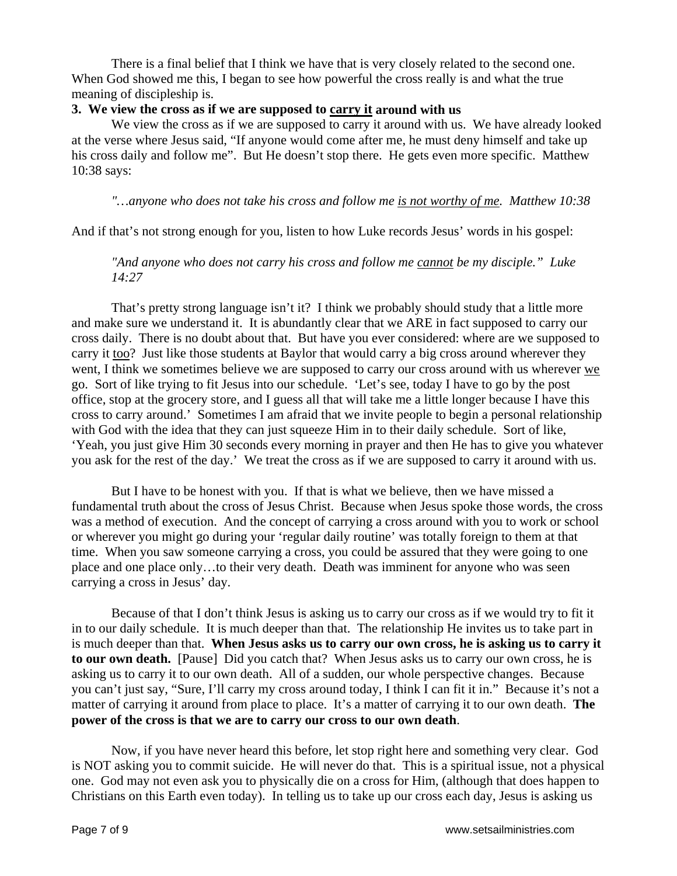There is a final belief that I think we have that is very closely related to the second one. When God showed me this, I began to see how powerful the cross really is and what the true meaning of discipleship is.

### **3. We view the cross as if we are supposed to carry it around with us**

 We view the cross as if we are supposed to carry it around with us. We have already looked at the verse where Jesus said, "If anyone would come after me, he must deny himself and take up his cross daily and follow me". But He doesn't stop there. He gets even more specific. Matthew 10:38 says:

*"…anyone who does not take his cross and follow me is not worthy of me. Matthew 10:38*

And if that's not strong enough for you, listen to how Luke records Jesus' words in his gospel:

*"And anyone who does not carry his cross and follow me cannot be my disciple." Luke 14:27* 

 That's pretty strong language isn't it? I think we probably should study that a little more and make sure we understand it. It is abundantly clear that we ARE in fact supposed to carry our cross daily. There is no doubt about that. But have you ever considered: where are we supposed to carry it too? Just like those students at Baylor that would carry a big cross around wherever they went, I think we sometimes believe we are supposed to carry our cross around with us wherever we go. Sort of like trying to fit Jesus into our schedule. 'Let's see, today I have to go by the post office, stop at the grocery store, and I guess all that will take me a little longer because I have this cross to carry around.' Sometimes I am afraid that we invite people to begin a personal relationship with God with the idea that they can just squeeze Him in to their daily schedule. Sort of like, 'Yeah, you just give Him 30 seconds every morning in prayer and then He has to give you whatever you ask for the rest of the day.' We treat the cross as if we are supposed to carry it around with us.

But I have to be honest with you. If that is what we believe, then we have missed a fundamental truth about the cross of Jesus Christ. Because when Jesus spoke those words, the cross was a method of execution. And the concept of carrying a cross around with you to work or school or wherever you might go during your 'regular daily routine' was totally foreign to them at that time. When you saw someone carrying a cross, you could be assured that they were going to one place and one place only…to their very death. Death was imminent for anyone who was seen carrying a cross in Jesus' day.

 Because of that I don't think Jesus is asking us to carry our cross as if we would try to fit it in to our daily schedule. It is much deeper than that. The relationship He invites us to take part in is much deeper than that. **When Jesus asks us to carry our own cross, he is asking us to carry it to our own death.** [Pause] Did you catch that? When Jesus asks us to carry our own cross, he is asking us to carry it to our own death. All of a sudden, our whole perspective changes. Because you can't just say, "Sure, I'll carry my cross around today, I think I can fit it in." Because it's not a matter of carrying it around from place to place. It's a matter of carrying it to our own death. **The power of the cross is that we are to carry our cross to our own death**.

Now, if you have never heard this before, let stop right here and something very clear. God is NOT asking you to commit suicide. He will never do that. This is a spiritual issue, not a physical one. God may not even ask you to physically die on a cross for Him, (although that does happen to Christians on this Earth even today). In telling us to take up our cross each day, Jesus is asking us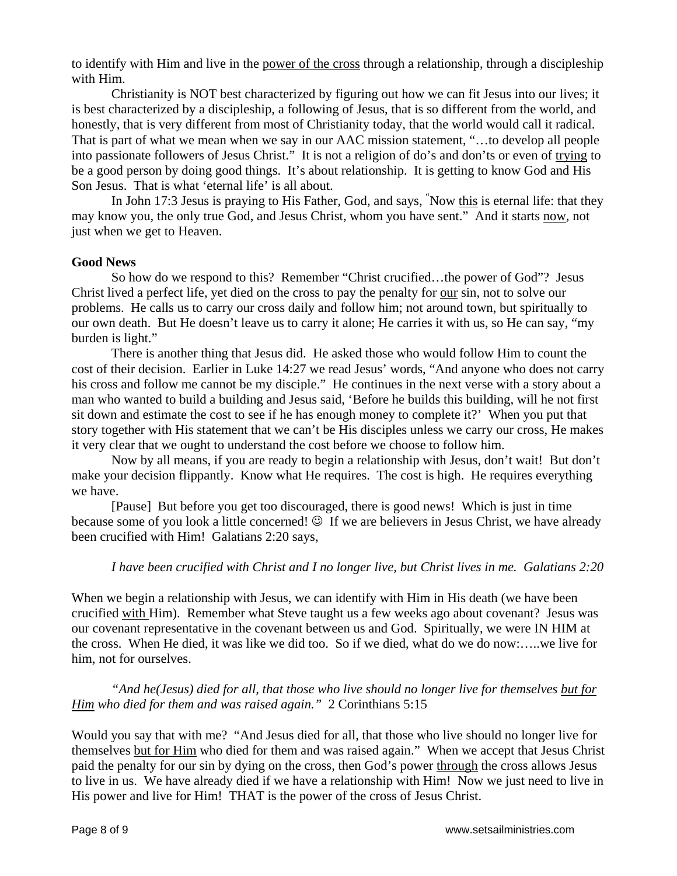to identify with Him and live in the power of the cross through a relationship, through a discipleship with Him.

Christianity is NOT best characterized by figuring out how we can fit Jesus into our lives; it is best characterized by a discipleship, a following of Jesus, that is so different from the world, and honestly, that is very different from most of Christianity today, that the world would call it radical. That is part of what we mean when we say in our AAC mission statement, "…to develop all people into passionate followers of Jesus Christ." It is not a religion of do's and don'ts or even of trying to be a good person by doing good things. It's about relationship. It is getting to know God and His Son Jesus. That is what 'eternal life' is all about.

In John 17:3 Jesus is praying to His Father, God, and says, "Now this is eternal life: that they may know you, the only true God, and Jesus Christ, whom you have sent." And it starts now, not just when we get to Heaven.

### **Good News**

 So how do we respond to this? Remember "Christ crucified…the power of God"? Jesus Christ lived a perfect life, yet died on the cross to pay the penalty for our sin, not to solve our problems. He calls us to carry our cross daily and follow him; not around town, but spiritually to our own death. But He doesn't leave us to carry it alone; He carries it with us, so He can say, "my burden is light."

There is another thing that Jesus did. He asked those who would follow Him to count the cost of their decision. Earlier in Luke 14:27 we read Jesus' words, "And anyone who does not carry his cross and follow me cannot be my disciple." He continues in the next verse with a story about a man who wanted to build a building and Jesus said, 'Before he builds this building, will he not first sit down and estimate the cost to see if he has enough money to complete it?' When you put that story together with His statement that we can't be His disciples unless we carry our cross, He makes it very clear that we ought to understand the cost before we choose to follow him.

Now by all means, if you are ready to begin a relationship with Jesus, don't wait! But don't make your decision flippantly. Know what He requires. The cost is high. He requires everything we have.

[Pause] But before you get too discouraged, there is good news! Which is just in time because some of you look a little concerned!  $\odot$  If we are believers in Jesus Christ, we have already been crucified with Him! Galatians 2:20 says,

#### *I have been crucified with Christ and I no longer live, but Christ lives in me. Galatians 2:20*

When we begin a relationship with Jesus, we can identify with Him in His death (we have been crucified with Him). Remember what Steve taught us a few weeks ago about covenant? Jesus was our covenant representative in the covenant between us and God. Spiritually, we were IN HIM at the cross. When He died, it was like we did too. So if we died, what do we do now:…..we live for him, not for ourselves.

# *"And he(Jesus) died for all, that those who live should no longer live for themselves but for Him who died for them and was raised again."* 2 Corinthians 5:15

Would you say that with me? "And Jesus died for all, that those who live should no longer live for themselves but for Him who died for them and was raised again." When we accept that Jesus Christ paid the penalty for our sin by dying on the cross, then God's power through the cross allows Jesus to live in us. We have already died if we have a relationship with Him! Now we just need to live in His power and live for Him! THAT is the power of the cross of Jesus Christ.